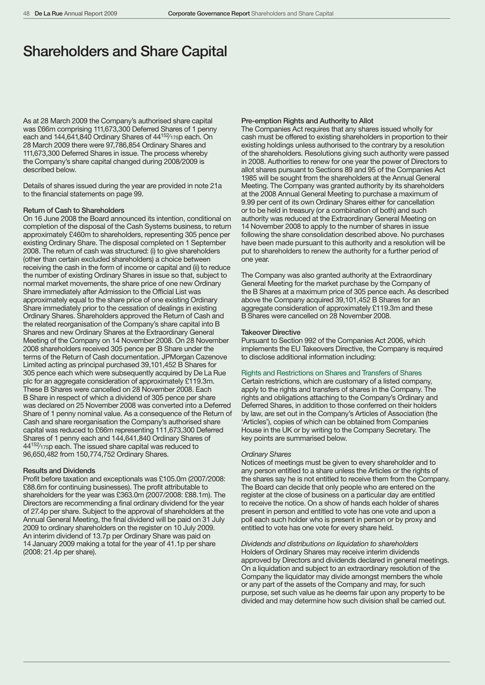# Shareholders and Share Capital

As at 28 March 2009 the Company's authorised share capital was £66m comprising 111,673,300 Deferred Shares of 1 penny each and 144,641,840 Ordinary Shares of 44<sup>152</sup>/175p each. On 28 March 2009 there were 97,786,854 Ordinary Shares and 111,673,300 Deferred Shares in issue. The process whereby the Company's share capital changed during 2008/2009 is described below.

Details of shares issued during the year are provided in note 21a to the financial statements on page 99.

# Return of Cash to Shareholders

On 16 June 2008 the Board announced its intention, conditional on completion of the disposal of the Cash Systems business, to return approximately £460m to shareholders, representing 305 pence per existing Ordinary Share. The disposal completed on 1 September 2008. The return of cash was structured: (i) to give shareholders (other than certain excluded shareholders) a choice between receiving the cash in the form of income or capital and (ii) to reduce the number of existing Ordinary Shares in issue so that, subject to normal market movements, the share price of one new Ordinary Share immediately after Admission to the Official List was approximately equal to the share price of one existing Ordinary Share immediately prior to the cessation of dealings in existing Ordinary Shares. Shareholders approved the Return of Cash and the related reorganisation of the Company's share capital into B Shares and new Ordinary Shares at the Extraordinary General Meeting of the Company on 14 November 2008. On 28 November 2008 shareholders received 305 pence per B Share under the terms of the Return of Cash documentation. JPMorgan Cazenove Limited acting as principal purchased 39,101,452 B Shares for 305 pence each which were subsequently acquired by De La Rue plc for an aggregate consideration of approximately £119.3m. These B Shares were cancelled on 28 November 2008. Each B Share in respect of which a dividend of 305 pence per share was declared on 25 November 2008 was converted into a Deferred Share of 1 penny nominal value. As a consequence of the Return of Cash and share reorganisation the Company's authorised share capital was reduced to £66m representing 111,673,300 Deferred Shares of 1 penny each and 144,641,840 Ordinary Shares of 44152⁄175p each. The issued share capital was reduced to 96,650,482 from 150,774,752 Ordinary Shares.

# Results and Dividends

Profit before taxation and exceptionals was £105.0m (2007/2008: £88.6m for continuing businesses). The profit attributable to shareholders for the year was £363.0m (2007/2008: £88.1m). The Directors are recommending a final ordinary dividend for the year of 27.4p per share. Subject to the approval of shareholders at the Annual General Meeting, the final dividend will be paid on 31 July 2009 to ordinary shareholders on the register on 10 July 2009. An interim dividend of 13.7p per Ordinary Share was paid on 14 January 2009 making a total for the year of 41.1p per share (2008: 21.4p per share).

# Pre-emption Rights and Authority to Allot

The Companies Act requires that any shares issued wholly for cash must be offered to existing shareholders in proportion to their existing holdings unless authorised to the contrary by a resolution of the shareholders. Resolutions giving such authority were passed in 2008. Authorities to renew for one year the power of Directors to allot shares pursuant to Sections 89 and 95 of the Companies Act 1985 will be sought from the shareholders at the Annual General Meeting. The Company was granted authority by its shareholders at the 2008 Annual General Meeting to purchase a maximum of 9.99 per cent of its own Ordinary Shares either for cancellation or to be held in treasury (or a combination of both) and such authority was reduced at the Extraordinary General Meeting on 14 November 2008 to apply to the number of shares in issue following the share consolidation described above. No purchases have been made pursuant to this authority and a resolution will be put to shareholders to renew the authority for a further period of one year.

The Company was also granted authority at the Extraordinary General Meeting for the market purchase by the Company of the B Shares at a maximum price of 305 pence each. As described above the Company acquired 39,101,452 B Shares for an aggregate consideration of approximately £119.3m and these B Shares were cancelled on 28 November 2008.

#### Takeover Directive

Pursuant to Section 992 of the Companies Act 2006, which implements the EU Takeovers Directive, the Company is required to disclose additional information including:

# Rights and Restrictions on Shares and Transfers of Shares

Certain restrictions, which are customary of a listed company, apply to the rights and transfers of shares in the Company. The rights and obligations attaching to the Company's Ordinary and Deferred Shares, in addition to those conferred on their holders by law, are set out in the Company's Articles of Association (the 'Articles'), copies of which can be obtained from Companies House in the UK or by writing to the Company Secretary. The key points are summarised below.

#### *Ordinary Shares*

Notices of meetings must be given to every shareholder and to any person entitled to a share unless the Articles or the rights of the shares say he is not entitled to receive them from the Company. The Board can decide that only people who are entered on the register at the close of business on a particular day are entitled to receive the notice. On a show of hands each holder of shares present in person and entitled to vote has one vote and upon a poll each such holder who is present in person or by proxy and entitled to vote has one vote for every share held.

*Dividends and distributions on liquidation to shareholders* Holders of Ordinary Shares may receive interim dividends approved by Directors and dividends declared in general meetings. On a liquidation and subject to an extraordinary resolution of the Company the liquidator may divide amongst members the whole or any part of the assets of the Company and may, for such purpose, set such value as he deems fair upon any property to be divided and may determine how such division shall be carried out.